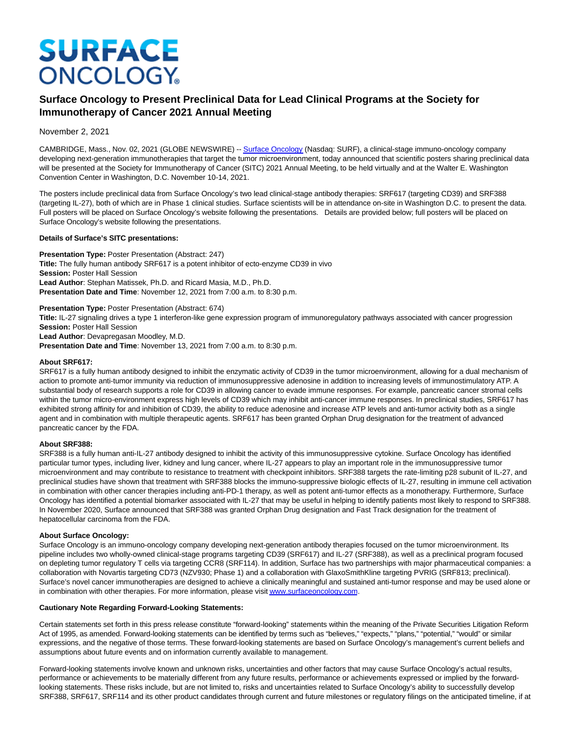# **SURFACE ONCOLOGY**

# **Surface Oncology to Present Preclinical Data for Lead Clinical Programs at the Society for Immunotherapy of Cancer 2021 Annual Meeting**

November 2, 2021

CAMBRIDGE, Mass., Nov. 02, 2021 (GLOBE NEWSWIRE) -[- Surface Oncology \(](https://www.globenewswire.com/Tracker?data=G7p9GFtzgZzJYBFPINeMkdEUB-gu2KftLDDHwmh7zDrIO7XhsO4QrVkxxLjUcbDCI2BOhuQK4dnh_5vpA4iYRLynBV-4HmBPDT9ME__Bnb-sN0Irt9_ui5jXLvymUu_yllZPYUJSVLilFLYJFT3x7GFruMo08SEXpeBOxlNie981yQV1UfuuLVnqQYt_uVtHZZJgN3XDlbk2M1TX2ObD1WfcwXLeo7SCyYt0wQrR152Nu3r9bTS-D9PJFFEyYZd3)Nasdaq: SURF), a clinical-stage immuno-oncology company developing next-generation immunotherapies that target the tumor microenvironment, today announced that scientific posters sharing preclinical data will be presented at the Society for Immunotherapy of Cancer (SITC) 2021 Annual Meeting, to be held virtually and at the Walter E. Washington Convention Center in Washington, D.C. November 10-14, 2021.

The posters include preclinical data from Surface Oncology's two lead clinical-stage antibody therapies: SRF617 (targeting CD39) and SRF388 (targeting IL-27), both of which are in Phase 1 clinical studies. Surface scientists will be in attendance on-site in Washington D.C. to present the data. Full posters will be placed on Surface Oncology's website following the presentations. Details are provided below; full posters will be placed on Surface Oncology's website following the presentations.

# **Details of Surface's SITC presentations:**

**Presentation Type: Poster Presentation (Abstract: 247) Title:** The fully human antibody SRF617 is a potent inhibitor of ecto-enzyme CD39 in vivo **Session:** Poster Hall Session **Lead Author**: Stephan Matissek, Ph.D. and Ricard Masia, M.D., Ph.D. **Presentation Date and Time**: November 12, 2021 from 7:00 a.m. to 8:30 p.m.

#### **Presentation Type:** Poster Presentation (Abstract: 674)

**Title:** IL-27 signaling drives a type 1 interferon-like gene expression program of immunoregulatory pathways associated with cancer progression **Session:** Poster Hall Session **Lead Author**: Devapregasan Moodley, M.D.

**Presentation Date and Time**: November 13, 2021 from 7:00 a.m. to 8:30 p.m.

# **About SRF617:**

SRF617 is a fully human antibody designed to inhibit the enzymatic activity of CD39 in the tumor microenvironment, allowing for a dual mechanism of action to promote anti-tumor immunity via reduction of immunosuppressive adenosine in addition to increasing levels of immunostimulatory ATP. A substantial body of research supports a role for CD39 in allowing cancer to evade immune responses. For example, pancreatic cancer stromal cells within the tumor micro-environment express high levels of CD39 which may inhibit anti-cancer immune responses. In preclinical studies, SRF617 has exhibited strong affinity for and inhibition of CD39, the ability to reduce adenosine and increase ATP levels and anti-tumor activity both as a single agent and in combination with multiple therapeutic agents. SRF617 has been granted Orphan Drug designation for the treatment of advanced pancreatic cancer by the FDA.

#### **About SRF388:**

SRF388 is a fully human anti-IL-27 antibody designed to inhibit the activity of this immunosuppressive cytokine. Surface Oncology has identified particular tumor types, including liver, kidney and lung cancer, where IL-27 appears to play an important role in the immunosuppressive tumor microenvironment and may contribute to resistance to treatment with checkpoint inhibitors. SRF388 targets the rate-limiting p28 subunit of IL-27, and preclinical studies have shown that treatment with SRF388 blocks the immuno-suppressive biologic effects of IL-27, resulting in immune cell activation in combination with other cancer therapies including anti-PD-1 therapy, as well as potent anti-tumor effects as a monotherapy. Furthermore, Surface Oncology has identified a potential biomarker associated with IL-27 that may be useful in helping to identify patients most likely to respond to SRF388. In November 2020, Surface announced that SRF388 was granted Orphan Drug designation and Fast Track designation for the treatment of hepatocellular carcinoma from the FDA.

#### **About Surface Oncology:**

Surface Oncology is an immuno-oncology company developing next-generation antibody therapies focused on the tumor microenvironment. Its pipeline includes two wholly-owned clinical-stage programs targeting CD39 (SRF617) and IL-27 (SRF388), as well as a preclinical program focused on depleting tumor regulatory T cells via targeting CCR8 (SRF114). In addition, Surface has two partnerships with major pharmaceutical companies: a collaboration with Novartis targeting CD73 (NZV930; Phase 1) and a collaboration with GlaxoSmithKline targeting PVRIG (SRF813; preclinical). Surface's novel cancer immunotherapies are designed to achieve a clinically meaningful and sustained anti-tumor response and may be used alone or in combination with other therapies. For more information, please visi[t www.surfaceoncology.com.](https://www.globenewswire.com/Tracker?data=iF-D55D4PvFSG6Zfp1tP9o3kIhOQ2XMzNjfVMcPkgDxu0AM8S4gvrpLZOxBV_PYMKoWVCWNHYm4HZ7MO0mz_y1YnuEvPcMXFfQUIGCzFbOgexkLPMcunNyQe3xBhtFVxn-KWj_IWVDR-Lh9Fe0b1gmSfGrxzpwvaeun_5dHgNSmyjUgKYshAUr8t2RSCQOYYwah1IBQ4SxHqxisQvpAnLidCYpUtTr0r4LLki_uIFVGQMD26qBIsZIpE4R72w2xTWvYVs88dKa_vkK2wwDkB4g==)

# **Cautionary Note Regarding Forward-Looking Statements:**

Certain statements set forth in this press release constitute "forward-looking" statements within the meaning of the Private Securities Litigation Reform Act of 1995, as amended. Forward-looking statements can be identified by terms such as "believes," "expects," "plans," "potential," "would" or similar expressions, and the negative of those terms. These forward-looking statements are based on Surface Oncology's management's current beliefs and assumptions about future events and on information currently available to management.

Forward-looking statements involve known and unknown risks, uncertainties and other factors that may cause Surface Oncology's actual results, performance or achievements to be materially different from any future results, performance or achievements expressed or implied by the forwardlooking statements. These risks include, but are not limited to, risks and uncertainties related to Surface Oncology's ability to successfully develop SRF388, SRF617, SRF114 and its other product candidates through current and future milestones or regulatory filings on the anticipated timeline, if at